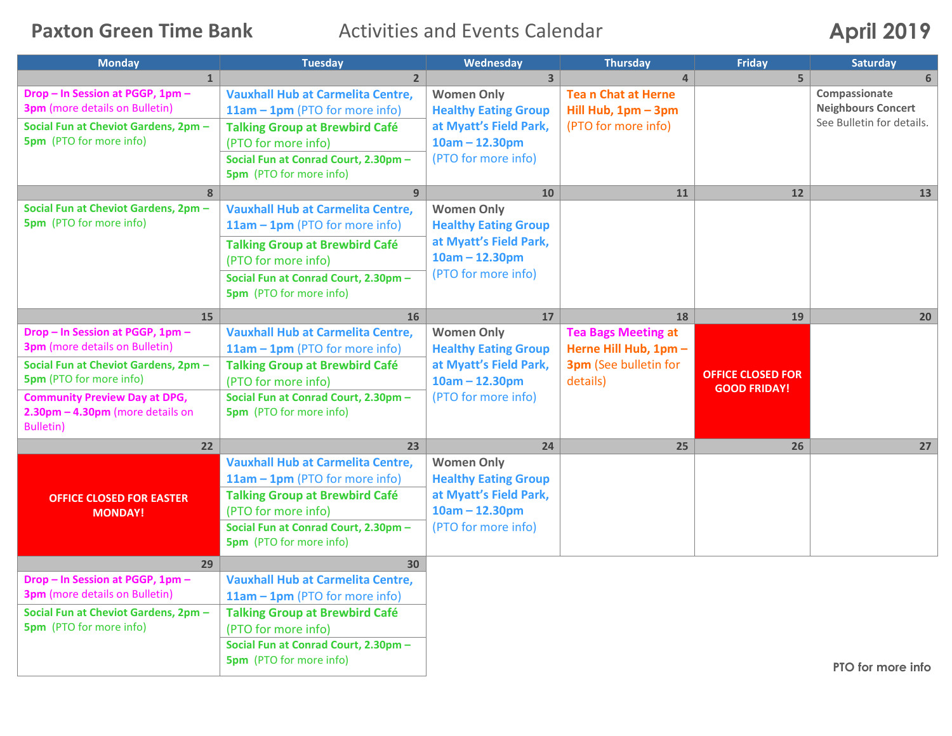**Paxton Green Time Bank** Activities and Events Calendar **April 2019** 

| <b>Monday</b>                          | <b>Tuesday</b>                                                         | Wednesday                                  | <b>Thursday</b>                                | Friday                   | <b>Saturday</b>           |
|----------------------------------------|------------------------------------------------------------------------|--------------------------------------------|------------------------------------------------|--------------------------|---------------------------|
| $\mathbf{1}$                           | $\overline{2}$                                                         | 3 <sup>1</sup>                             | $\overline{4}$                                 | 5                        | 6                         |
| Drop - In Session at PGGP, 1pm -       | <b>Vauxhall Hub at Carmelita Centre,</b>                               | <b>Women Only</b>                          | <b>Tean Chat at Herne</b>                      |                          | Compassionate             |
| <b>3pm</b> (more details on Bulletin)  | $11am - 1pm$ (PTO for more info)                                       | <b>Healthy Eating Group</b>                | Hill Hub, 1pm - 3pm                            |                          | <b>Neighbours Concert</b> |
| Social Fun at Cheviot Gardens, 2pm -   | <b>Talking Group at Brewbird Café</b>                                  | at Myatt's Field Park,                     | (PTO for more info)                            |                          | See Bulletin for details. |
| <b>5pm</b> (PTO for more info)         | (PTO for more info)                                                    | $10am - 12.30pm$                           |                                                |                          |                           |
|                                        | Social Fun at Conrad Court, 2.30pm -<br><b>5pm</b> (PTO for more info) | (PTO for more info)                        |                                                |                          |                           |
| 8                                      | 9                                                                      | 10                                         | 11                                             | 12                       | 13                        |
| Social Fun at Cheviot Gardens, 2pm -   | <b>Vauxhall Hub at Carmelita Centre,</b>                               | <b>Women Only</b>                          |                                                |                          |                           |
| <b>5pm</b> (PTO for more info)         | 11am - 1pm (PTO for more info)                                         | <b>Healthy Eating Group</b>                |                                                |                          |                           |
|                                        | <b>Talking Group at Brewbird Café</b>                                  | at Myatt's Field Park,                     |                                                |                          |                           |
|                                        | (PTO for more info)                                                    | $10am - 12.30pm$                           |                                                |                          |                           |
|                                        | Social Fun at Conrad Court, 2.30pm -                                   | (PTO for more info)                        |                                                |                          |                           |
|                                        | <b>5pm</b> (PTO for more info)                                         |                                            |                                                |                          |                           |
|                                        |                                                                        |                                            |                                                |                          |                           |
| 15<br>Drop - In Session at PGGP, 1pm - | 16                                                                     | 17                                         | 18                                             | 19                       | 20                        |
| 3pm (more details on Bulletin)         | <b>Vauxhall Hub at Carmelita Centre,</b>                               | <b>Women Only</b>                          | <b>Tea Bags Meeting at</b>                     |                          |                           |
| Social Fun at Cheviot Gardens, 2pm -   | $11am - 1pm$ (PTO for more info)                                       | <b>Healthy Eating Group</b>                | Herne Hill Hub, 1pm -<br>3pm (See bulletin for |                          |                           |
| <b>5pm</b> (PTO for more info)         | <b>Talking Group at Brewbird Café</b><br>(PTO for more info)           | at Myatt's Field Park,<br>$10am - 12.30pm$ | details)                                       | <b>OFFICE CLOSED FOR</b> |                           |
| <b>Community Preview Day at DPG,</b>   | Social Fun at Conrad Court, 2.30pm -                                   | (PTO for more info)                        |                                                | <b>GOOD FRIDAY!</b>      |                           |
| $2.30$ pm $-$ 4.30pm (more details on  | <b>5pm</b> (PTO for more info)                                         |                                            |                                                |                          |                           |
| <b>Bulletin)</b>                       |                                                                        |                                            |                                                |                          |                           |
| 22                                     | 23                                                                     | 24                                         | 25                                             | 26                       | 27                        |
|                                        | <b>Vauxhall Hub at Carmelita Centre,</b>                               | <b>Women Only</b>                          |                                                |                          |                           |
|                                        | 11am - 1pm (PTO for more info)                                         | <b>Healthy Eating Group</b>                |                                                |                          |                           |
| <b>OFFICE CLOSED FOR EASTER</b>        | <b>Talking Group at Brewbird Café</b>                                  | at Myatt's Field Park,                     |                                                |                          |                           |
| <b>MONDAY!</b>                         | (PTO for more info)                                                    | $10am - 12.30pm$                           |                                                |                          |                           |
|                                        | Social Fun at Conrad Court, 2.30pm -                                   | (PTO for more info)                        |                                                |                          |                           |
|                                        | <b>5pm</b> (PTO for more info)                                         |                                            |                                                |                          |                           |
| 29                                     | 30                                                                     |                                            |                                                |                          |                           |
| Drop - In Session at PGGP, 1pm -       | <b>Vauxhall Hub at Carmelita Centre,</b>                               |                                            |                                                |                          |                           |
| <b>3pm</b> (more details on Bulletin)  | 11am - 1pm (PTO for more info)                                         |                                            |                                                |                          |                           |
| Social Fun at Cheviot Gardens, 2pm -   | <b>Talking Group at Brewbird Café</b>                                  |                                            |                                                |                          |                           |
| <b>5pm</b> (PTO for more info)         | (PTO for more info)                                                    |                                            |                                                |                          |                           |
|                                        | Social Fun at Conrad Court, 2.30pm -                                   |                                            |                                                |                          |                           |
|                                        | <b>5pm</b> (PTO for more info)                                         |                                            |                                                |                          |                           |